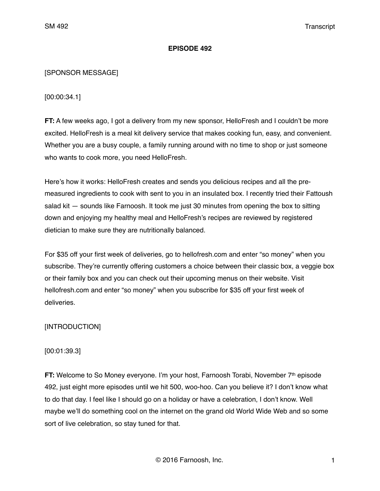## **EPISODE 492**

# [SPONSOR MESSAGE]

[00:00:34.1]

**FT:** A few weeks ago, I got a delivery from my new sponsor, HelloFresh and I couldn't be more excited. HelloFresh is a meal kit delivery service that makes cooking fun, easy, and convenient. Whether you are a busy couple, a family running around with no time to shop or just someone who wants to cook more, you need HelloFresh.

Here's how it works: HelloFresh creates and sends you delicious recipes and all the premeasured ingredients to cook with sent to you in an insulated box. I recently tried their Fattoush salad kit — sounds like Farnoosh. It took me just 30 minutes from opening the box to sitting down and enjoying my healthy meal and HelloFresh's recipes are reviewed by registered dietician to make sure they are nutritionally balanced.

For \$35 off your first week of deliveries, go to hellofresh.com and enter "so money" when you subscribe. They're currently offering customers a choice between their classic box, a veggie box or their family box and you can check out their upcoming menus on their website. Visit hellofresh.com and enter "so money" when you subscribe for \$35 off your first week of deliveries.

# [INTRODUCTION]

# [00:01:39.3]

**FT:** Welcome to So Money everyone. I'm your host, Farnoosh Torabi, November 7<sup>th</sup> episode 492, just eight more episodes until we hit 500, woo-hoo. Can you believe it? I don't know what to do that day. I feel like I should go on a holiday or have a celebration, I don't know. Well maybe we'll do something cool on the internet on the grand old World Wide Web and so some sort of live celebration, so stay tuned for that.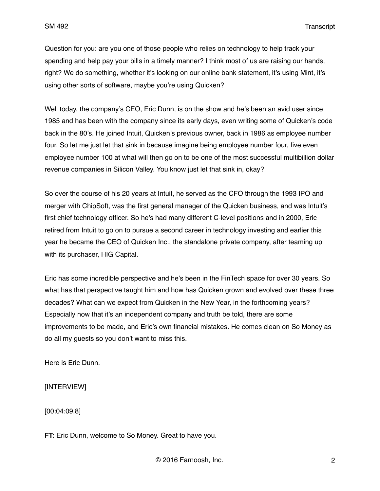SM 492 Transcript

Question for you: are you one of those people who relies on technology to help track your spending and help pay your bills in a timely manner? I think most of us are raising our hands, right? We do something, whether it's looking on our online bank statement, it's using Mint, it's using other sorts of software, maybe you're using Quicken?

Well today, the company's CEO, Eric Dunn, is on the show and he's been an avid user since 1985 and has been with the company since its early days, even writing some of Quicken's code back in the 80's. He joined Intuit, Quicken's previous owner, back in 1986 as employee number four. So let me just let that sink in because imagine being employee number four, five even employee number 100 at what will then go on to be one of the most successful multibillion dollar revenue companies in Silicon Valley. You know just let that sink in, okay?

So over the course of his 20 years at Intuit, he served as the CFO through the 1993 IPO and merger with ChipSoft, was the first general manager of the Quicken business, and was Intuit's first chief technology officer. So he's had many different C-level positions and in 2000, Eric retired from Intuit to go on to pursue a second career in technology investing and earlier this year he became the CEO of Quicken Inc., the standalone private company, after teaming up with its purchaser, HIG Capital.

Eric has some incredible perspective and he's been in the FinTech space for over 30 years. So what has that perspective taught him and how has Quicken grown and evolved over these three decades? What can we expect from Quicken in the New Year, in the forthcoming years? Especially now that it's an independent company and truth be told, there are some improvements to be made, and Eric's own financial mistakes. He comes clean on So Money as do all my guests so you don't want to miss this.

Here is Eric Dunn.

[INTERVIEW]

[00:04:09.8]

**FT:** Eric Dunn, welcome to So Money. Great to have you.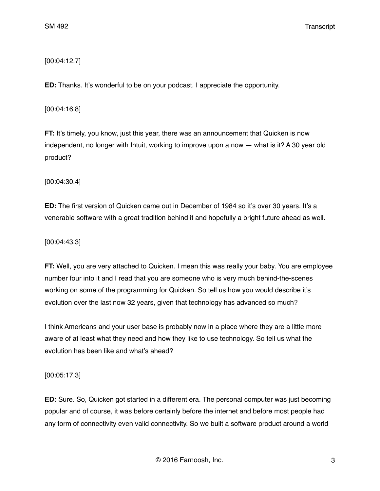[00:04:12.7]

**ED:** Thanks. It's wonderful to be on your podcast. I appreciate the opportunity.

[00:04:16.8]

**FT:** It's timely, you know, just this year, there was an announcement that Quicken is now independent, no longer with Intuit, working to improve upon a now — what is it? A 30 year old product?

[00:04:30.4]

**ED:** The first version of Quicken came out in December of 1984 so it's over 30 years. It's a venerable software with a great tradition behind it and hopefully a bright future ahead as well.

[00:04:43.3]

**FT:** Well, you are very attached to Quicken. I mean this was really your baby. You are employee number four into it and I read that you are someone who is very much behind-the-scenes working on some of the programming for Quicken. So tell us how you would describe it's evolution over the last now 32 years, given that technology has advanced so much?

I think Americans and your user base is probably now in a place where they are a little more aware of at least what they need and how they like to use technology. So tell us what the evolution has been like and what's ahead?

[00:05:17.3]

**ED:** Sure. So, Quicken got started in a different era. The personal computer was just becoming popular and of course, it was before certainly before the internet and before most people had any form of connectivity even valid connectivity. So we built a software product around a world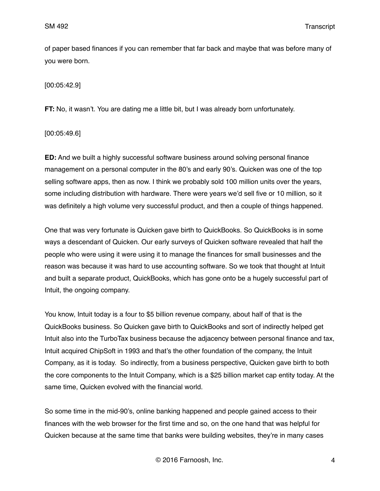of paper based finances if you can remember that far back and maybe that was before many of you were born.

[00:05:42.9]

**FT:** No, it wasn't. You are dating me a little bit, but I was already born unfortunately.

[00:05:49.6]

**ED:** And we built a highly successful software business around solving personal finance management on a personal computer in the 80's and early 90's. Quicken was one of the top selling software apps, then as now. I think we probably sold 100 million units over the years, some including distribution with hardware. There were years we'd sell five or 10 million, so it was definitely a high volume very successful product, and then a couple of things happened.

One that was very fortunate is Quicken gave birth to QuickBooks. So QuickBooks is in some ways a descendant of Quicken. Our early surveys of Quicken software revealed that half the people who were using it were using it to manage the finances for small businesses and the reason was because it was hard to use accounting software. So we took that thought at Intuit and built a separate product, QuickBooks, which has gone onto be a hugely successful part of Intuit, the ongoing company.

You know, Intuit today is a four to \$5 billion revenue company, about half of that is the QuickBooks business. So Quicken gave birth to QuickBooks and sort of indirectly helped get Intuit also into the TurboTax business because the adjacency between personal finance and tax, Intuit acquired ChipSoft in 1993 and that's the other foundation of the company, the Intuit Company, as it is today. So indirectly, from a business perspective, Quicken gave birth to both the core components to the Intuit Company, which is a \$25 billion market cap entity today. At the same time, Quicken evolved with the financial world.

So some time in the mid-90's, online banking happened and people gained access to their finances with the web browser for the first time and so, on the one hand that was helpful for Quicken because at the same time that banks were building websites, they're in many cases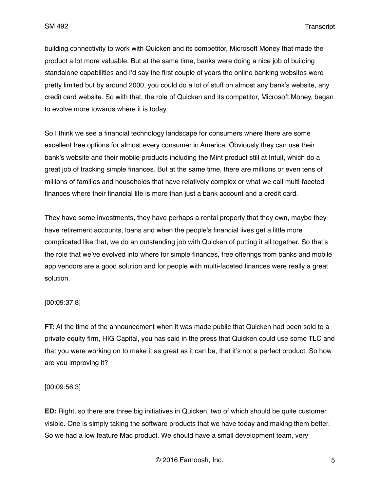building connectivity to work with Quicken and its competitor, Microsoft Money that made the product a lot more valuable. But at the same time, banks were doing a nice job of building standalone capabilities and I'd say the first couple of years the online banking websites were pretty limited but by around 2000, you could do a lot of stuff on almost any bank's website, any credit card website. So with that, the role of Quicken and its competitor, Microsoft Money, began to evolve more towards where it is today.

So I think we see a financial technology landscape for consumers where there are some excellent free options for almost every consumer in America. Obviously they can use their bank's website and their mobile products including the Mint product still at Intuit, which do a great job of tracking simple finances. But at the same time, there are millions or even tens of millions of families and households that have relatively complex or what we call multi-faceted finances where their financial life is more than just a bank account and a credit card.

They have some investments, they have perhaps a rental property that they own, maybe they have retirement accounts, loans and when the people's financial lives get a little more complicated like that, we do an outstanding job with Quicken of putting it all together. So that's the role that we've evolved into where for simple finances, free offerings from banks and mobile app vendors are a good solution and for people with multi-faceted finances were really a great solution.

## [00:09:37.8]

**FT:** At the time of the announcement when it was made public that Quicken had been sold to a private equity firm, HIG Capital, you has said in the press that Quicken could use some TLC and that you were working on to make it as great as it can be, that it's not a perfect product. So how are you improving it?

## [00:09:56.3]

**ED:** Right, so there are three big initiatives in Quicken, two of which should be quite customer visible. One is simply taking the software products that we have today and making them better. So we had a low feature Mac product. We should have a small development team, very

© 2016 Farnoosh, Inc. 5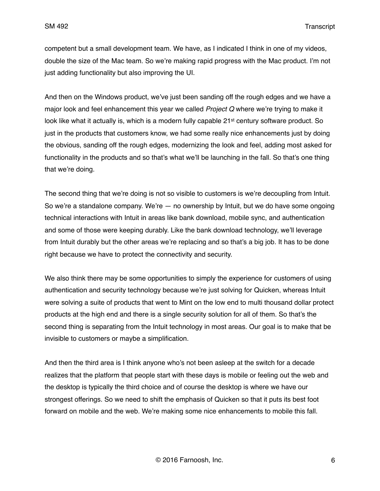competent but a small development team. We have, as I indicated I think in one of my videos, double the size of the Mac team. So we're making rapid progress with the Mac product. I'm not just adding functionality but also improving the UI.

And then on the Windows product, we've just been sanding off the rough edges and we have a major look and feel enhancement this year we called *Project Q* where we're trying to make it look like what it actually is, which is a modern fully capable 21<sup>st</sup> century software product. So just in the products that customers know, we had some really nice enhancements just by doing the obvious, sanding off the rough edges, modernizing the look and feel, adding most asked for functionality in the products and so that's what we'll be launching in the fall. So that's one thing that we're doing.

The second thing that we're doing is not so visible to customers is we're decoupling from Intuit. So we're a standalone company. We're — no ownership by Intuit, but we do have some ongoing technical interactions with Intuit in areas like bank download, mobile sync, and authentication and some of those were keeping durably. Like the bank download technology, we'll leverage from Intuit durably but the other areas we're replacing and so that's a big job. It has to be done right because we have to protect the connectivity and security.

We also think there may be some opportunities to simply the experience for customers of using authentication and security technology because we're just solving for Quicken, whereas Intuit were solving a suite of products that went to Mint on the low end to multi thousand dollar protect products at the high end and there is a single security solution for all of them. So that's the second thing is separating from the Intuit technology in most areas. Our goal is to make that be invisible to customers or maybe a simplification.

And then the third area is I think anyone who's not been asleep at the switch for a decade realizes that the platform that people start with these days is mobile or feeling out the web and the desktop is typically the third choice and of course the desktop is where we have our strongest offerings. So we need to shift the emphasis of Quicken so that it puts its best foot forward on mobile and the web. We're making some nice enhancements to mobile this fall.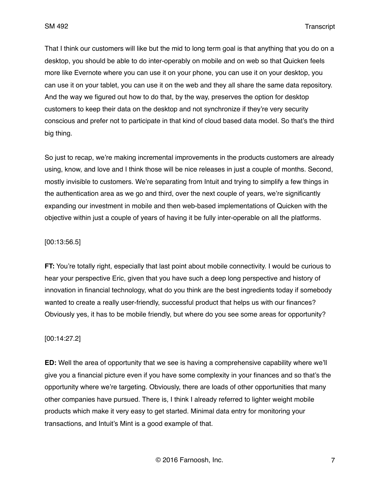SM 492 Transcript

That I think our customers will like but the mid to long term goal is that anything that you do on a desktop, you should be able to do inter-operably on mobile and on web so that Quicken feels more like Evernote where you can use it on your phone, you can use it on your desktop, you can use it on your tablet, you can use it on the web and they all share the same data repository. And the way we figured out how to do that, by the way, preserves the option for desktop customers to keep their data on the desktop and not synchronize if they're very security conscious and prefer not to participate in that kind of cloud based data model. So that's the third big thing.

So just to recap, we're making incremental improvements in the products customers are already using, know, and love and I think those will be nice releases in just a couple of months. Second, mostly invisible to customers. We're separating from Intuit and trying to simplify a few things in the authentication area as we go and third, over the next couple of years, we're significantly expanding our investment in mobile and then web-based implementations of Quicken with the objective within just a couple of years of having it be fully inter-operable on all the platforms.

### [00:13:56.5]

**FT:** You're totally right, especially that last point about mobile connectivity. I would be curious to hear your perspective Eric, given that you have such a deep long perspective and history of innovation in financial technology, what do you think are the best ingredients today if somebody wanted to create a really user-friendly, successful product that helps us with our finances? Obviously yes, it has to be mobile friendly, but where do you see some areas for opportunity?

#### [00:14:27.2]

**ED:** Well the area of opportunity that we see is having a comprehensive capability where we'll give you a financial picture even if you have some complexity in your finances and so that's the opportunity where we're targeting. Obviously, there are loads of other opportunities that many other companies have pursued. There is, I think I already referred to lighter weight mobile products which make it very easy to get started. Minimal data entry for monitoring your transactions, and Intuit's Mint is a good example of that.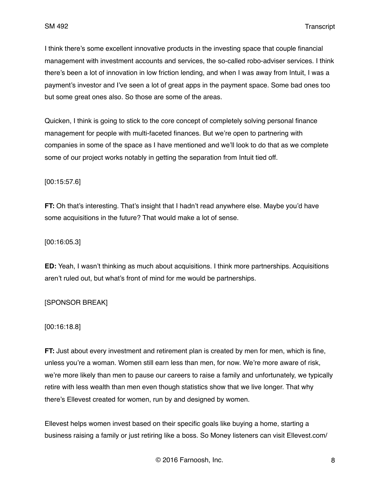I think there's some excellent innovative products in the investing space that couple financial management with investment accounts and services, the so-called robo-adviser services. I think there's been a lot of innovation in low friction lending, and when I was away from Intuit, I was a payment's investor and I've seen a lot of great apps in the payment space. Some bad ones too but some great ones also. So those are some of the areas.

Quicken, I think is going to stick to the core concept of completely solving personal finance management for people with multi-faceted finances. But we're open to partnering with companies in some of the space as I have mentioned and we'll look to do that as we complete some of our project works notably in getting the separation from Intuit tied off.

#### [00:15:57.6]

**FT:** Oh that's interesting. That's insight that I hadn't read anywhere else. Maybe you'd have some acquisitions in the future? That would make a lot of sense.

[00:16:05.3]

**ED:** Yeah, I wasn't thinking as much about acquisitions. I think more partnerships. Acquisitions aren't ruled out, but what's front of mind for me would be partnerships.

## [SPONSOR BREAK]

#### [00:16:18.8]

**FT:** Just about every investment and retirement plan is created by men for men, which is fine, unless you're a woman. Women still earn less than men, for now. We're more aware of risk, we're more likely than men to pause our careers to raise a family and unfortunately, we typically retire with less wealth than men even though statistics show that we live longer. That why there's Ellevest created for women, run by and designed by women.

Ellevest helps women invest based on their specific goals like buying a home, starting a business raising a family or just retiring like a boss. So Money listeners can visit Ellevest.com/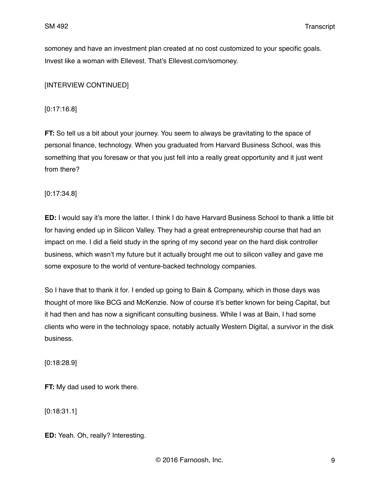somoney and have an investment plan created at no cost customized to your specific goals. Invest like a woman with Ellevest. That's Ellevest.com/somoney.

[INTERVIEW CONTINUED]

[0:17:16.8]

**FT:** So tell us a bit about your journey. You seem to always be gravitating to the space of personal finance, technology. When you graduated from Harvard Business School, was this something that you foresaw or that you just fell into a really great opportunity and it just went from there?

[0:17:34.8]

**ED:** I would say it's more the latter. I think I do have Harvard Business School to thank a little bit for having ended up in Silicon Valley. They had a great entrepreneurship course that had an impact on me. I did a field study in the spring of my second year on the hard disk controller business, which wasn't my future but it actually brought me out to silicon valley and gave me some exposure to the world of venture-backed technology companies.

So I have that to thank it for. I ended up going to Bain & Company, which in those days was thought of more like BCG and McKenzie. Now of course it's better known for being Capital, but it had then and has now a significant consulting business. While I was at Bain, I had some clients who were in the technology space, notably actually Western Digital, a survivor in the disk business.

[0:18:28.9]

**FT:** My dad used to work there.

[0:18:31.1]

**ED:** Yeah. Oh, really? Interesting.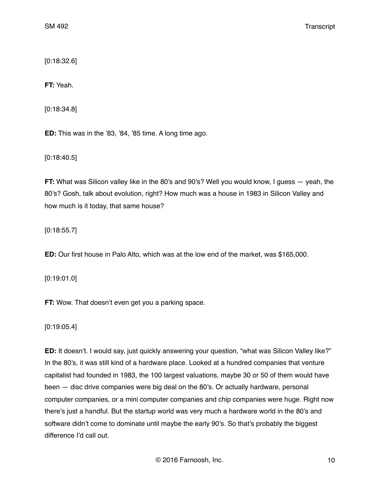[0:18:32.6]

**FT:** Yeah.

[0:18:34.8]

**ED:** This was in the '83, '84, '85 time. A long time ago.

[0:18:40.5]

**FT:** What was Silicon valley like in the 80's and 90's? Well you would know, I guess — yeah, the 80's? Gosh, talk about evolution, right? How much was a house in 1983 in Silicon Valley and how much is it today, that same house?

[0:18:55.7]

**ED:** Our first house in Palo Alto, which was at the low end of the market, was \$165,000.

[0:19:01.0]

**FT:** Wow. That doesn't even get you a parking space.

[0:19:05.4]

**ED:** It doesn't. I would say, just quickly answering your question, "what was Silicon Valley like?" In the 80's, it was still kind of a hardware place. Looked at a hundred companies that venture capitalist had founded in 1983, the 100 largest valuations, maybe 30 or 50 of them would have been — disc drive companies were big deal on the 80's. Or actually hardware, personal computer companies, or a mini computer companies and chip companies were huge. Right now there's just a handful. But the startup world was very much a hardware world in the 80's and software didn't come to dominate until maybe the early 90's. So that's probably the biggest difference I'd call out.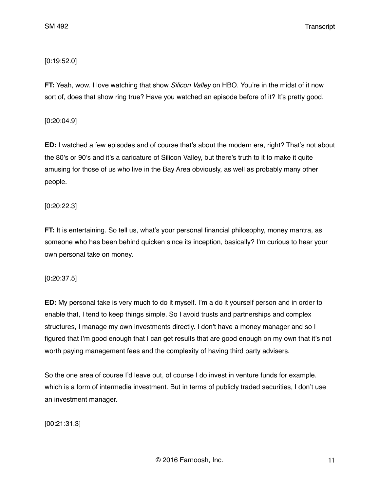## [0:19:52.0]

**FT:** Yeah, wow. I love watching that show *Silicon Valley* on HBO. You're in the midst of it now sort of, does that show ring true? Have you watched an episode before of it? It's pretty good.

## [0:20:04.9]

**ED:** I watched a few episodes and of course that's about the modern era, right? That's not about the 80's or 90's and it's a caricature of Silicon Valley, but there's truth to it to make it quite amusing for those of us who live in the Bay Area obviously, as well as probably many other people.

## [0:20:22.3]

**FT:** It is entertaining. So tell us, what's your personal financial philosophy, money mantra, as someone who has been behind quicken since its inception, basically? I'm curious to hear your own personal take on money.

# [0:20:37.5]

**ED:** My personal take is very much to do it myself. I'm a do it yourself person and in order to enable that, I tend to keep things simple. So I avoid trusts and partnerships and complex structures, I manage my own investments directly. I don't have a money manager and so I figured that I'm good enough that I can get results that are good enough on my own that it's not worth paying management fees and the complexity of having third party advisers.

So the one area of course I'd leave out, of course I do invest in venture funds for example. which is a form of intermedia investment. But in terms of publicly traded securities, I don't use an investment manager.

[00:21:31.3]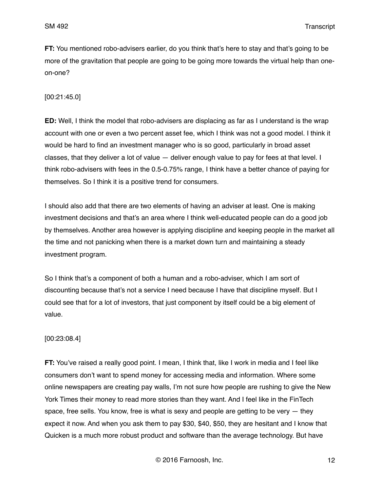**FT:** You mentioned robo-advisers earlier, do you think that's here to stay and that's going to be more of the gravitation that people are going to be going more towards the virtual help than oneon-one?

[00:21:45.0]

**ED:** Well, I think the model that robo-advisers are displacing as far as I understand is the wrap account with one or even a two percent asset fee, which I think was not a good model. I think it would be hard to find an investment manager who is so good, particularly in broad asset classes, that they deliver a lot of value — deliver enough value to pay for fees at that level. I think robo-advisers with fees in the 0.5-0.75% range, I think have a better chance of paying for themselves. So I think it is a positive trend for consumers.

I should also add that there are two elements of having an adviser at least. One is making investment decisions and that's an area where I think well-educated people can do a good job by themselves. Another area however is applying discipline and keeping people in the market all the time and not panicking when there is a market down turn and maintaining a steady investment program.

So I think that's a component of both a human and a robo-adviser, which I am sort of discounting because that's not a service I need because I have that discipline myself. But I could see that for a lot of investors, that just component by itself could be a big element of value.

## [00:23:08.4]

**FT:** You've raised a really good point. I mean, I think that, like I work in media and I feel like consumers don't want to spend money for accessing media and information. Where some online newspapers are creating pay walls, I'm not sure how people are rushing to give the New York Times their money to read more stories than they want. And I feel like in the FinTech space, free sells. You know, free is what is sexy and people are getting to be very  $-$  they expect it now. And when you ask them to pay \$30, \$40, \$50, they are hesitant and I know that Quicken is a much more robust product and software than the average technology. But have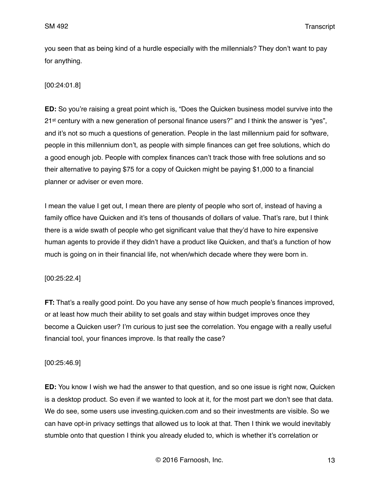you seen that as being kind of a hurdle especially with the millennials? They don't want to pay for anything.

## [00:24:01.8]

**ED:** So you're raising a great point which is, "Does the Quicken business model survive into the 21<sup>st</sup> century with a new generation of personal finance users?" and I think the answer is "yes", and it's not so much a questions of generation. People in the last millennium paid for software, people in this millennium don't, as people with simple finances can get free solutions, which do a good enough job. People with complex finances can't track those with free solutions and so their alternative to paying \$75 for a copy of Quicken might be paying \$1,000 to a financial planner or adviser or even more.

I mean the value I get out, I mean there are plenty of people who sort of, instead of having a family office have Quicken and it's tens of thousands of dollars of value. That's rare, but I think there is a wide swath of people who get significant value that they'd have to hire expensive human agents to provide if they didn't have a product like Quicken, and that's a function of how much is going on in their financial life, not when/which decade where they were born in.

## [00:25:22.4]

**FT:** That's a really good point. Do you have any sense of how much people's finances improved, or at least how much their ability to set goals and stay within budget improves once they become a Quicken user? I'm curious to just see the correlation. You engage with a really useful financial tool, your finances improve. Is that really the case?

## [00:25:46.9]

**ED:** You know I wish we had the answer to that question, and so one issue is right now, Quicken is a desktop product. So even if we wanted to look at it, for the most part we don't see that data. We do see, some users use investing.quicken.com and so their investments are visible. So we can have opt-in privacy settings that allowed us to look at that. Then I think we would inevitably stumble onto that question I think you already eluded to, which is whether it's correlation or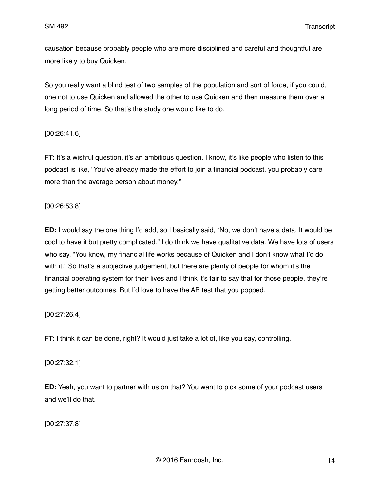causation because probably people who are more disciplined and careful and thoughtful are more likely to buy Quicken.

So you really want a blind test of two samples of the population and sort of force, if you could, one not to use Quicken and allowed the other to use Quicken and then measure them over a long period of time. So that's the study one would like to do.

[00:26:41.6]

**FT:** It's a wishful question, it's an ambitious question. I know, it's like people who listen to this podcast is like, "You've already made the effort to join a financial podcast, you probably care more than the average person about money."

## [00:26:53.8]

**ED:** I would say the one thing I'd add, so I basically said, "No, we don't have a data. It would be cool to have it but pretty complicated." I do think we have qualitative data. We have lots of users who say, "You know, my financial life works because of Quicken and I don't know what I'd do with it." So that's a subjective judgement, but there are plenty of people for whom it's the financial operating system for their lives and I think it's fair to say that for those people, they're getting better outcomes. But I'd love to have the AB test that you popped.

[00:27:26.4]

**FT:** I think it can be done, right? It would just take a lot of, like you say, controlling.

[00:27:32.1]

**ED:** Yeah, you want to partner with us on that? You want to pick some of your podcast users and we'll do that.

[00:27:37.8]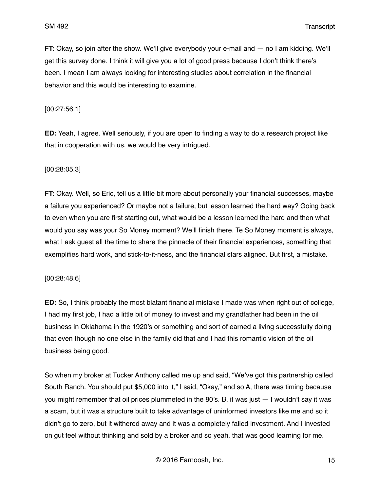**FT:** Okay, so join after the show. We'll give everybody your e-mail and — no I am kidding. We'll get this survey done. I think it will give you a lot of good press because I don't think there's been. I mean I am always looking for interesting studies about correlation in the financial behavior and this would be interesting to examine.

[00:27:56.1]

**ED:** Yeah, I agree. Well seriously, if you are open to finding a way to do a research project like that in cooperation with us, we would be very intrigued.

[00:28:05.3]

**FT:** Okay. Well, so Eric, tell us a little bit more about personally your financial successes, maybe a failure you experienced? Or maybe not a failure, but lesson learned the hard way? Going back to even when you are first starting out, what would be a lesson learned the hard and then what would you say was your So Money moment? We'll finish there. Te So Money moment is always, what I ask quest all the time to share the pinnacle of their financial experiences, something that exemplifies hard work, and stick-to-it-ness, and the financial stars aligned. But first, a mistake.

[00:28:48.6]

**ED:** So, I think probably the most blatant financial mistake I made was when right out of college, I had my first job, I had a little bit of money to invest and my grandfather had been in the oil business in Oklahoma in the 1920's or something and sort of earned a living successfully doing that even though no one else in the family did that and I had this romantic vision of the oil business being good.

So when my broker at Tucker Anthony called me up and said, "We've got this partnership called South Ranch. You should put \$5,000 into it," I said, "Okay," and so A, there was timing because you might remember that oil prices plummeted in the 80's. B, it was just — I wouldn't say it was a scam, but it was a structure built to take advantage of uninformed investors like me and so it didn't go to zero, but it withered away and it was a completely failed investment. And I invested on gut feel without thinking and sold by a broker and so yeah, that was good learning for me.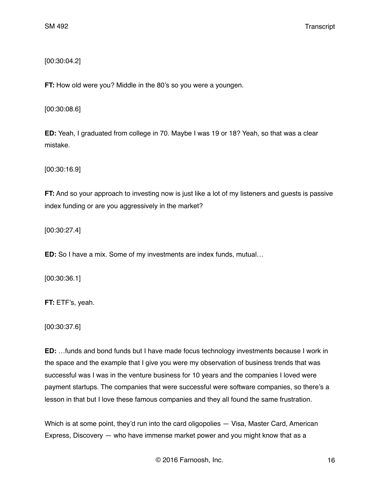[00:30:04.2]

**FT:** How old were you? Middle in the 80's so you were a youngen.

[00:30:08.6]

**ED:** Yeah, I graduated from college in 70. Maybe I was 19 or 18? Yeah, so that was a clear mistake.

[00:30:16.9]

**FT:** And so your approach to investing now is just like a lot of my listeners and guests is passive index funding or are you aggressively in the market?

[00:30:27.4]

**ED:** So I have a mix. Some of my investments are index funds, mutual…

[00:30:36.1]

**FT:** ETF's, yeah.

[00:30:37.6]

**ED:** …funds and bond funds but I have made focus technology investments because I work in the space and the example that I give you were my observation of business trends that was successful was I was in the venture business for 10 years and the companies I loved were payment startups. The companies that were successful were software companies, so there's a lesson in that but I love these famous companies and they all found the same frustration.

Which is at some point, they'd run into the card oligopolies — Visa, Master Card, American Express, Discovery — who have immense market power and you might know that as a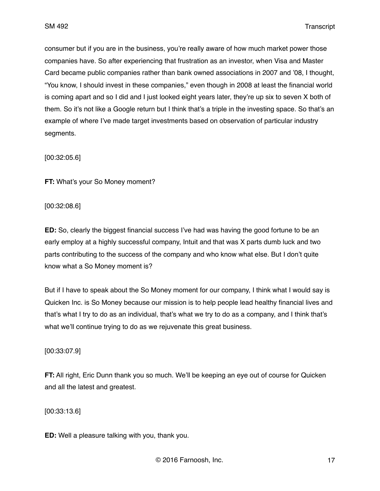consumer but if you are in the business, you're really aware of how much market power those companies have. So after experiencing that frustration as an investor, when Visa and Master Card became public companies rather than bank owned associations in 2007 and '08, I thought, "You know, I should invest in these companies," even though in 2008 at least the financial world is coming apart and so I did and I just looked eight years later, they're up six to seven X both of them. So it's not like a Google return but I think that's a triple in the investing space. So that's an example of where I've made target investments based on observation of particular industry segments.

[00:32:05.6]

**FT:** What's your So Money moment?

[00:32:08.6]

**ED:** So, clearly the biggest financial success I've had was having the good fortune to be an early employ at a highly successful company, Intuit and that was X parts dumb luck and two parts contributing to the success of the company and who know what else. But I don't quite know what a So Money moment is?

But if I have to speak about the So Money moment for our company, I think what I would say is Quicken Inc. is So Money because our mission is to help people lead healthy financial lives and that's what I try to do as an individual, that's what we try to do as a company, and I think that's what we'll continue trying to do as we rejuvenate this great business.

[00:33:07.9]

**FT:** All right, Eric Dunn thank you so much. We'll be keeping an eye out of course for Quicken and all the latest and greatest.

[00:33:13.6]

**ED:** Well a pleasure talking with you, thank you.